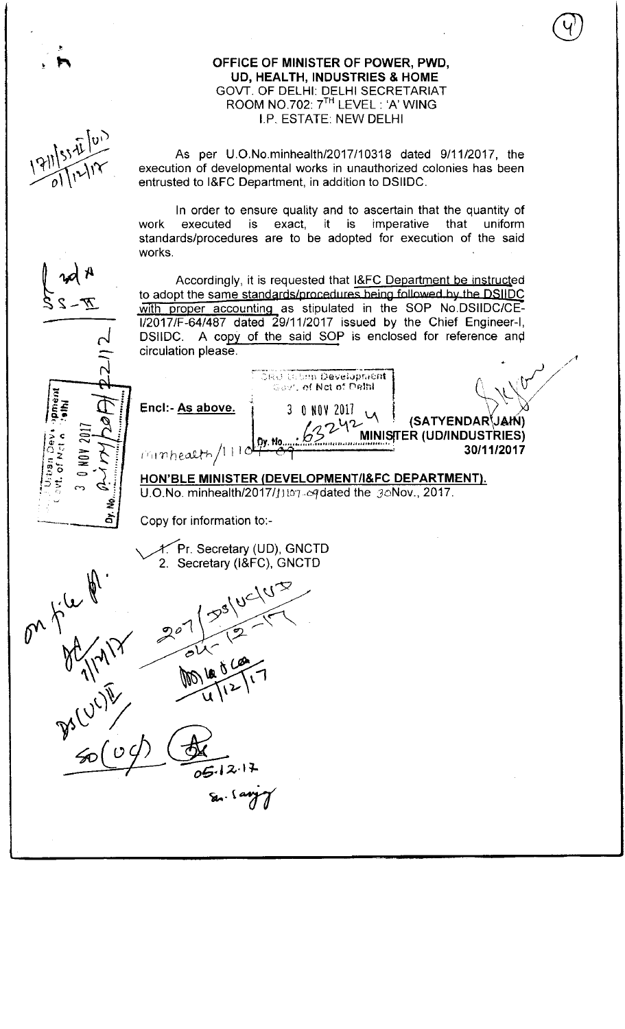OFFICE OF MINISTER OF POWER, PWD, UD, HEALTH, INDUSTRIES & HOME GOVT. OF DELHI: DELHI SECRETARIAT ROOM NO.702: 7<sup>TH</sup> LEVEL: 'A' WING I.P. ESTATE: NEW DELHI As per U.O.No.minhealth/2017/10318 dated 9/11/2017, the execution of developmental works in unauthorized colonies has been entrusted to I&FC Department, in addition to DSIIDC. In order to ensure quality and to ascertain that the quantity of work executed is exact, it is imperative that uniform work executed is exact, it is imperative that uniform<br>standards/procedures are to be adopted for execution of the said works. Accordingly, it is requested that I&FC Department be instructed to adopt the same standards/procedures heing followed by the DSIIDC with proper accounting as stipulated in the SOP No.DSIIDC/CE-1/2017/F-64/487 dated 29/11/2017 issued by the Chief Engineer-I DSIIDC. A copy of the said SOP is enclosed for reference and circulation please. ORD Urbon Development  $\left\{\begin{matrix} 1 & 0 & 0 \\ 0 & 0 & 0 \end{matrix}\right\}$ <br>  $\left\{\begin{matrix} 0 & 0 \\ 0 & 0 \end{matrix}\right\}$   $\left\{\begin{matrix} 0 & 0 \\ 0 & 0 \end{matrix}\right\}$   $\left\{\begin{matrix} 0 & 0 \\ 0 & 0 \end{matrix}\right\}$   $\left\{\begin{matrix} 0 & 0 \\ 0 & 0 \end{matrix}\right\}$   $\left\{\begin{matrix} 0 & 0 \\ 0 & 0 \end{matrix}\right\}$   $\left\{\begin{matrix} 0 & 0 \\ 0 & 0 \end{matrix}\right\}$  $\begin{array}{c} 0 10101 2017 \ \times \end{array}$  (SATYENDAR JAM)<br> $\begin{array}{c} 0.62242 \ \times \end{array}$  (SATYENDAR JAM) Encl:- As above. 3 0 NOV ot Met o 30/11/2017  $r$  inhealth/ $11$ HON'BLE MINISTER (DEVELOPMENT/I&FC DEPARTMENT).  $U.O.No.$  minhealth/2017/1107- $\alpha$ qdated the  $\beta$ oNov., 2017. ş à Copy for information to:- 1. Pr. Secretary (UD), GNCTD<br>2. Secretary (I&FC), GNCTD  $05.12.17$ 

 $\overline{Q}$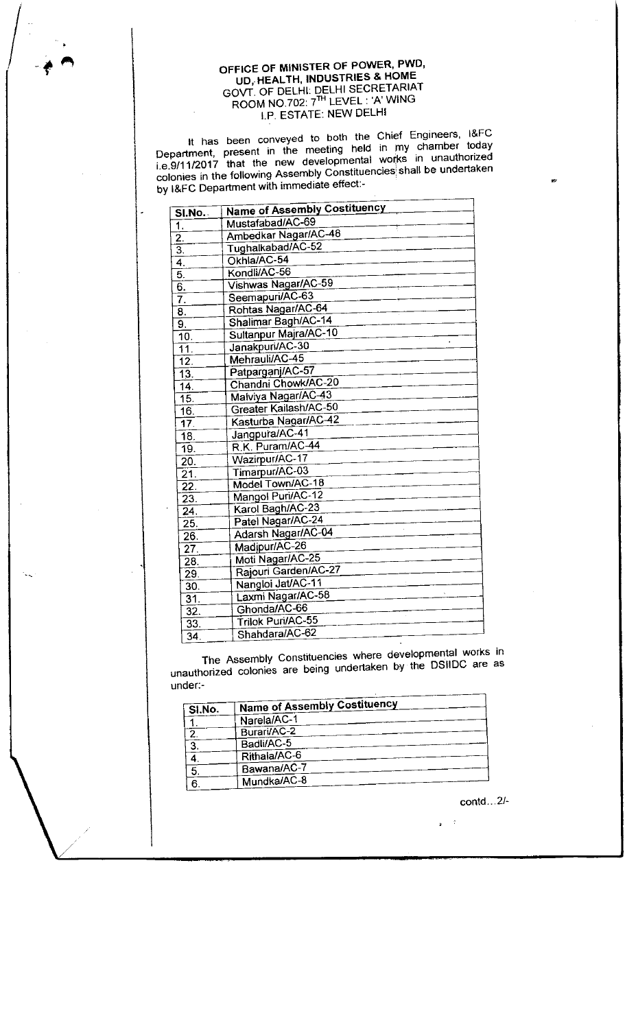## OFFICE OF MINISTER OF POWER, PWD, UD, HEALTH, INDUSTRIES & HOME GOVT. OF DELHI: DELHI SECRETARIAT ROOM NO.702: 7th LEVEL : 'A' WING I.P. ESTATE: NEW DELHI

It has been conveyed to both the Chief Engineers, I&FC It has been conveyed to both the Unier Engineers, the experiment present in the meeting held in my chamber today Department, present in the meeting held in my chamber loudy<br>i.e.9/11/2017 that the new developmental works in unauthorized i.e.9/11/2017 that the new developmental world in characterizing.<br>colonies in the following Assembly Constituencies shall be undertaken by I&FC Department with immediate effect:-

| SI.No.            | <b>Name of Assembly Costituency</b> |
|-------------------|-------------------------------------|
| 1.                | Mustafabad/AC-69                    |
| 2.                | Ambedkar Nagar/AC-48                |
| $\overline{3}$ .  | Tughalkabad/AC-52                   |
| 4.                | Okhla/AC-54                         |
| 5.                | Kondli/AC-56                        |
| 6.                | Vishwas Nagar/AC-59                 |
| 7.                | Seemapuri/AC-63                     |
| 8.                | Rohtas Nagar/AC-64                  |
| 9.                | Shalimar Bagh/AC-14                 |
| 10.               | Sultanpur Majra/AC-10               |
| $\overline{11}$ . | Janakpuri/AC-30                     |
| $\overline{12}$ . | Mehrauli/AC-45                      |
| 13.               | Patparganj/AC-57                    |
| 14.               | Chandni Chowk/AC-20                 |
| 15.               | Malviya Nagar/AC-43                 |
| 16.               | Greater Kailash/AC-50               |
| $\overline{17}$   | Kasturba Nagar/AC-42                |
| $\overline{18}$ . | Jangpura/AC-41                      |
| 19.               | R.K. Puram/AC-44                    |
| 20.               | Wazirpur/AC-17                      |
| $\overline{21}$ . | Timarpur/AC-03                      |
| $\overline{2}2$ . | Model Town/AC-18                    |
| $\overline{23}$ . | Mangol Puri/AC-12                   |
| $\overline{24}$ . | Karol Bagh/AC-23                    |
| 25.               | Patel Nagar/AC-24                   |
| 26.               | Adarsh Nagar/AC-04                  |
| $\overline{27}$ . | Madipur/AC-26                       |
| 28.               | Moti Nagar/AC-25                    |
| 29.               | Rajouri Garden/AC-27                |
| 30.               | Nangloi Jat/AC-11                   |
| 31.               | Laxmi Nagar/AC-58                   |
| $\overline{32}$ . | Ghonda/AC-66                        |
| $\overline{33}$ . | Trilok Puri/AC-55                   |
| $\overline{34}$ . | Shahdara/AC-62                      |
|                   |                                     |

The Assembly Constituencies where developmental works in unauthorized colonies are being undertaken by the DSIIDC are as under:-

| SI.No. | <b>Name of Assembly Costituency</b> |
|--------|-------------------------------------|
|        | Narela/AC-1                         |
| 2      | Burari/AC-2                         |
| 3      | Badli/AC-5                          |
|        | Rithala/AC-6                        |
|        | Bawana/AC-7                         |
|        | Mundka/AC-8                         |

contd...2/-

 $\sim$